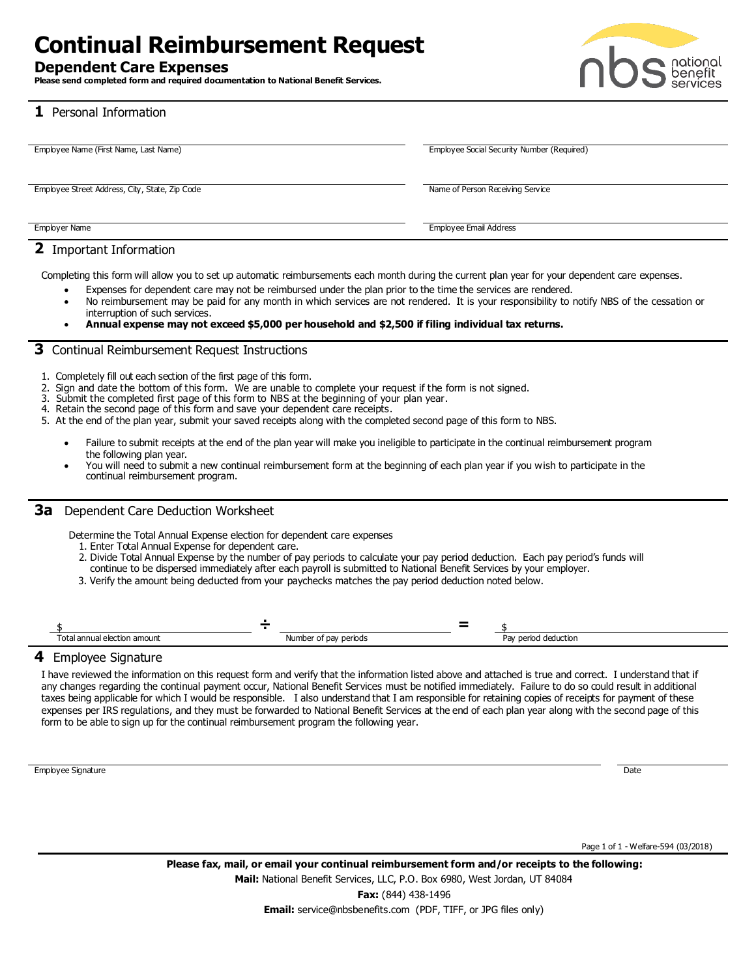# **Continual Reimbursement Request**

### **Dependent Care Expenses**

**Please send completed form and required documentation to National Benefit Services.**



**1** Personal Information

| Employee Name (First Name, Last Name)          | Employee Social Security Number (Required) |
|------------------------------------------------|--------------------------------------------|
|                                                |                                            |
|                                                |                                            |
|                                                |                                            |
| Employee Street Address, City, State, Zip Code | Name of Person Receiving Service           |
|                                                |                                            |
|                                                |                                            |
|                                                |                                            |
| Employer Name                                  | Employee Email Address                     |
|                                                |                                            |

## **2** Important Information

Completing this form will allow you to set up automatic reimbursements each month during the current plan year for your dependent care expenses.

- Expenses for dependent care may not be reimbursed under the plan prior to the time the services are rendered.
- No reimbursement may be paid for any month in which services are not rendered. It is your responsibility to notify NBS of the cessation or interruption of such services.
- **Annual expense may not exceed \$5,000 per household and \$2,500 if filing individual tax returns.**

### **3** Continual Reimbursement Request Instructions

- 1. Completely fill out each section of the first page of this form.
- 2. Sign and date the bottom of this form. We are unable to complete your request if the form is not signed.
- 3. Submit the completed first page of this form to NBS at the beginning of your plan year.
- 4. Retain the second page of this form and save your dependent care receipts.
- 5. At the end of the plan year, submit your saved receipts along with the completed second page of this form to NBS.
	- Failure to submit receipts at the end of the plan year will make you ineligible to participate in the continual reimbursement program the following plan year.
	- You will need to submit a new continual reimbursement form at the beginning of each plan year if you wish to participate in the continual reimbursement program.

### **3a** Dependent Care Deduction Worksheet

Determine the Total Annual Expense election for dependent care expenses

- 1. Enter Total Annual Expense for dependent care.
- 2. Divide Total Annual Expense by the number of pay periods to calculate your pay period deduction. Each pay period's funds will
- continue to be dispersed immediately after each payroll is submitted to National Benefit Services by your employer.
- 3. Verify the amount being deducted from your paychecks matches the pay period deduction noted below.

| ັດ+<br>on amount<br>annuai | Num<br>periods | - 613 |  |
|----------------------------|----------------|-------|--|

### **4** Employee Signature

I have reviewed the information on this request form and verify that the information listed above and attached is true and correct. I understand that if any changes regarding the continual payment occur, National Benefit Services must be notified immediately. Failure to do so could result in additional taxes being applicable for which I would be responsible. I also understand that I am responsible for retaining copies of receipts for payment of these expenses per IRS regulations, and they must be forwarded to National Benefit Services at the end of each plan year along with the second page of this form to be able to sign up for the continual reimbursement program the following year.

Employee Signature Date Contract Contract Contract Contract Contract Contract Contract Contract Contract Contract Contract Contract Contract Contract Contract Contract Contract Contract Contract Contract Contract Contract

Page 1 of 1 - Welfare-594 (03/2018)

**Fax:** (844) 438-1496 **Email:** service@nbsbenefits.com (PDF, TIFF, or JPG files only)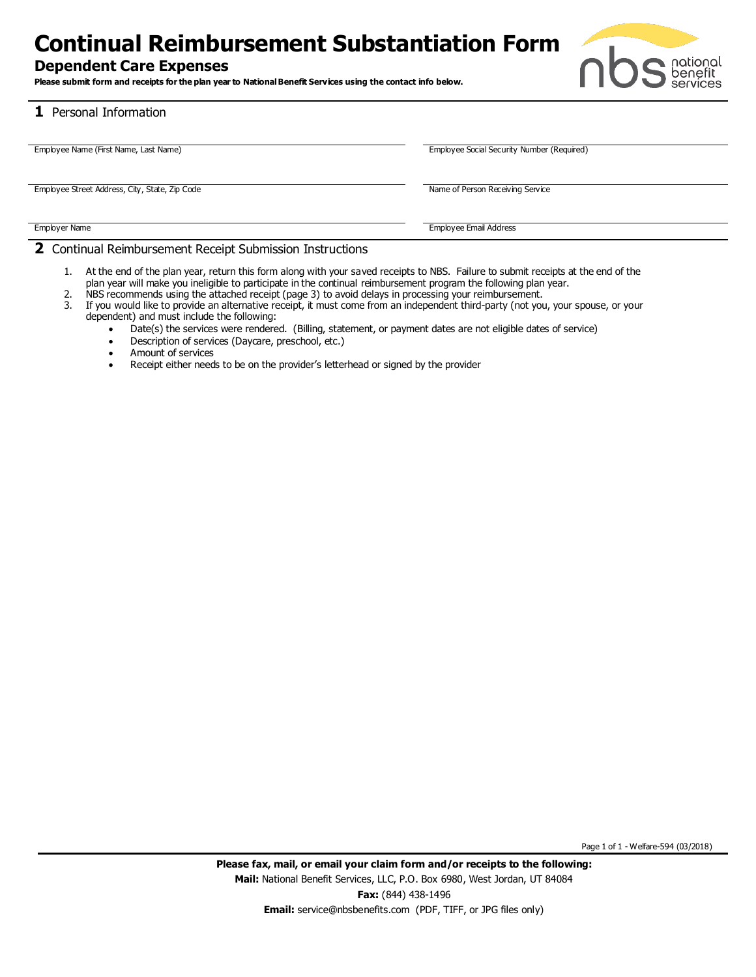## **Continual Reimbursement Substantiation Form**

## **Dependent Care Expenses**

**Please submit form and receipts for the plan year to NationalBenefit Services using the contact info below.**



## **1** Personal Information

| Employee Name (First Name, Last Name)          | Employee Social Security Number (Required) |
|------------------------------------------------|--------------------------------------------|
|                                                |                                            |
|                                                |                                            |
|                                                |                                            |
| Employee Street Address, City, State, Zip Code | Name of Person Receiving Service           |
|                                                |                                            |
|                                                |                                            |
|                                                |                                            |
| Employer Name                                  | Employee Email Address                     |
|                                                |                                            |

### **2** Continual Reimbursement Receipt Submission Instructions

- 1. At the end of the plan year, return this form along with your saved receipts to NBS. Failure to submit receipts at the end of the plan year will make you ineligible to participate in the continual reimbursement program the following plan year.
- 2. NBS recommends using the attached receipt (page 3) to avoid delays in processing your reimbursement.
- 3. If you would like to provide an alternative receipt, it must come from an independent third-party (not you, your spouse, or your dependent) and must include the following:
	- Date(s) the services were rendered. (Billing, statement, or payment dates are not eligible dates of service)
	- Description of services (Daycare, preschool, etc.)
	- Amount of services
	- Receipt either needs to be on the provider's letterhead or signed by the provider

Page 1 of 1 - Welfare-594 (03/2018)